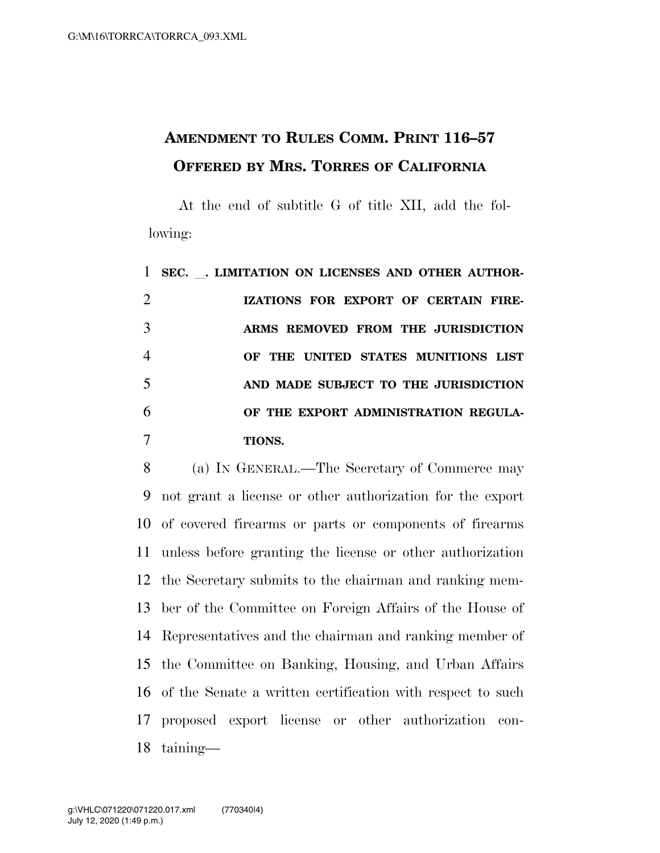## **AMENDMENT TO RULES COMM. PRINT 116–57 OFFERED BY MRS. TORRES OF CALIFORNIA**

At the end of subtitle G of title XII, add the following:

 **SEC.** l**. LIMITATION ON LICENSES AND OTHER AUTHOR- IZATIONS FOR EXPORT OF CERTAIN FIRE- ARMS REMOVED FROM THE JURISDICTION OF THE UNITED STATES MUNITIONS LIST AND MADE SUBJECT TO THE JURISDICTION OF THE EXPORT ADMINISTRATION REGULA-TIONS.** 

 (a) IN GENERAL.—The Secretary of Commerce may not grant a license or other authorization for the export of covered firearms or parts or components of firearms unless before granting the license or other authorization the Secretary submits to the chairman and ranking mem- ber of the Committee on Foreign Affairs of the House of Representatives and the chairman and ranking member of the Committee on Banking, Housing, and Urban Affairs of the Senate a written certification with respect to such proposed export license or other authorization con-taining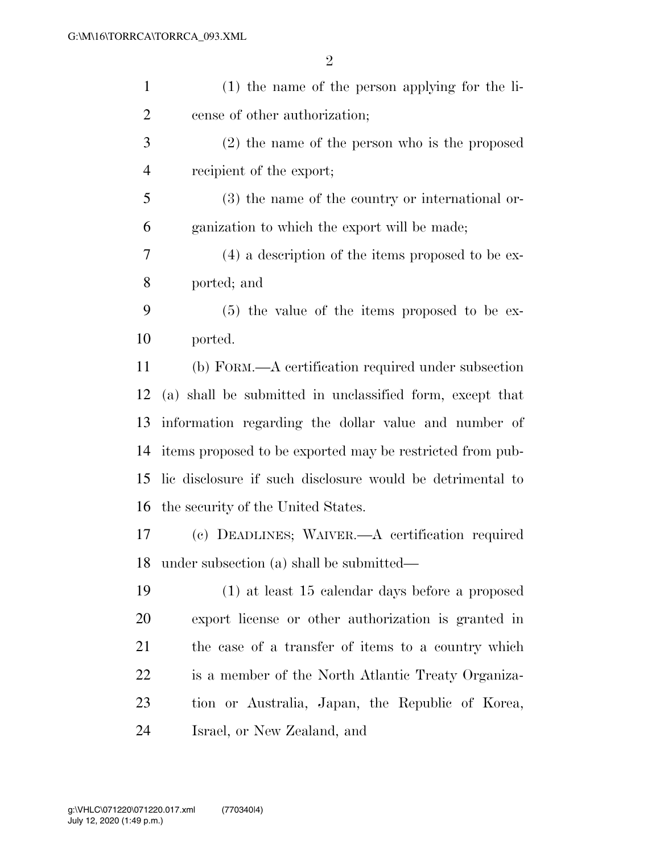| $\mathbf{1}$ | $(1)$ the name of the person applying for the li-         |
|--------------|-----------------------------------------------------------|
| 2            | cense of other authorization;                             |
| 3            | $(2)$ the name of the person who is the proposed          |
| 4            | recipient of the export;                                  |
| 5            | $(3)$ the name of the country or international or-        |
| 6            | ganization to which the export will be made;              |
| 7            | $(4)$ a description of the items proposed to be ex-       |
| 8            | ported; and                                               |
| 9            | $(5)$ the value of the items proposed to be ex-           |
| 10           | ported.                                                   |
| 11           | (b) FORM.—A certification required under subsection       |
| 12           | (a) shall be submitted in unclassified form, except that  |
| 13           | information regarding the dollar value and number of      |
| 14           | items proposed to be exported may be restricted from pub- |
| 15           | lic disclosure if such disclosure would be detrimental to |
| 16           | the security of the United States.                        |
| 17           | (c) DEADLINES; WAIVER.—A certification required           |
| 18           | under subsection (a) shall be submitted—                  |
| 19           | $(1)$ at least 15 calendar days before a proposed         |
| 20           | export license or other authorization is granted in       |
| 21           | the case of a transfer of items to a country which        |
| 22           | is a member of the North Atlantic Treaty Organiza-        |
| 23           | tion or Australia, Japan, the Republic of Korea,          |
| 24           | Israel, or New Zealand, and                               |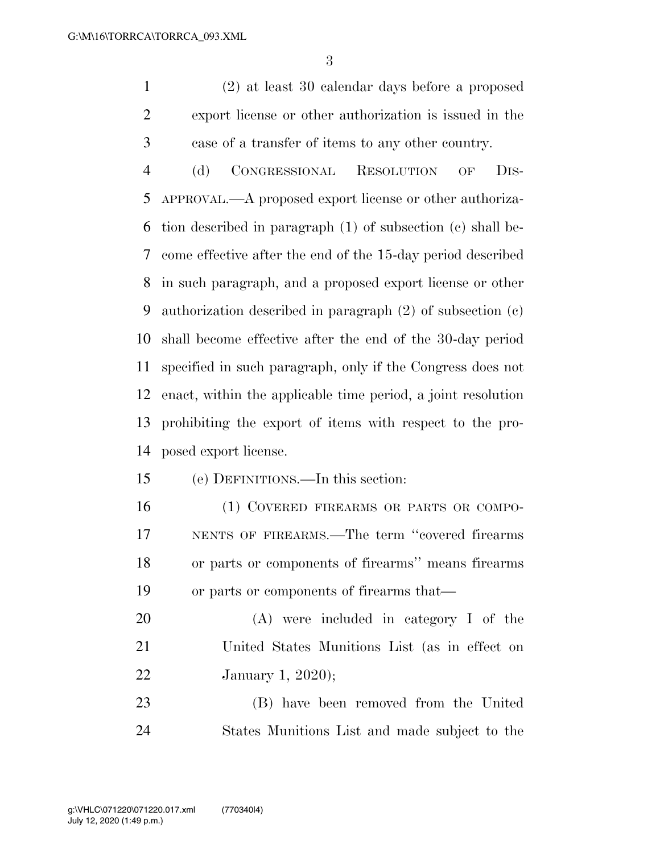(2) at least 30 calendar days before a proposed export license or other authorization is issued in the case of a transfer of items to any other country.

 (d) CONGRESSIONAL RESOLUTION OF DIS- APPROVAL.—A proposed export license or other authoriza- tion described in paragraph (1) of subsection (c) shall be- come effective after the end of the 15-day period described in such paragraph, and a proposed export license or other authorization described in paragraph (2) of subsection (c) shall become effective after the end of the 30-day period specified in such paragraph, only if the Congress does not enact, within the applicable time period, a joint resolution prohibiting the export of items with respect to the pro-posed export license.

## (e) DEFINITIONS.—In this section:

16 (1) COVERED FIREARMS OR PARTS OR COMPO- NENTS OF FIREARMS.—The term ''covered firearms or parts or components of firearms'' means firearms or parts or components of firearms that—

 (A) were included in category I of the United States Munitions List (as in effect on January 1, 2020);

 (B) have been removed from the United States Munitions List and made subject to the